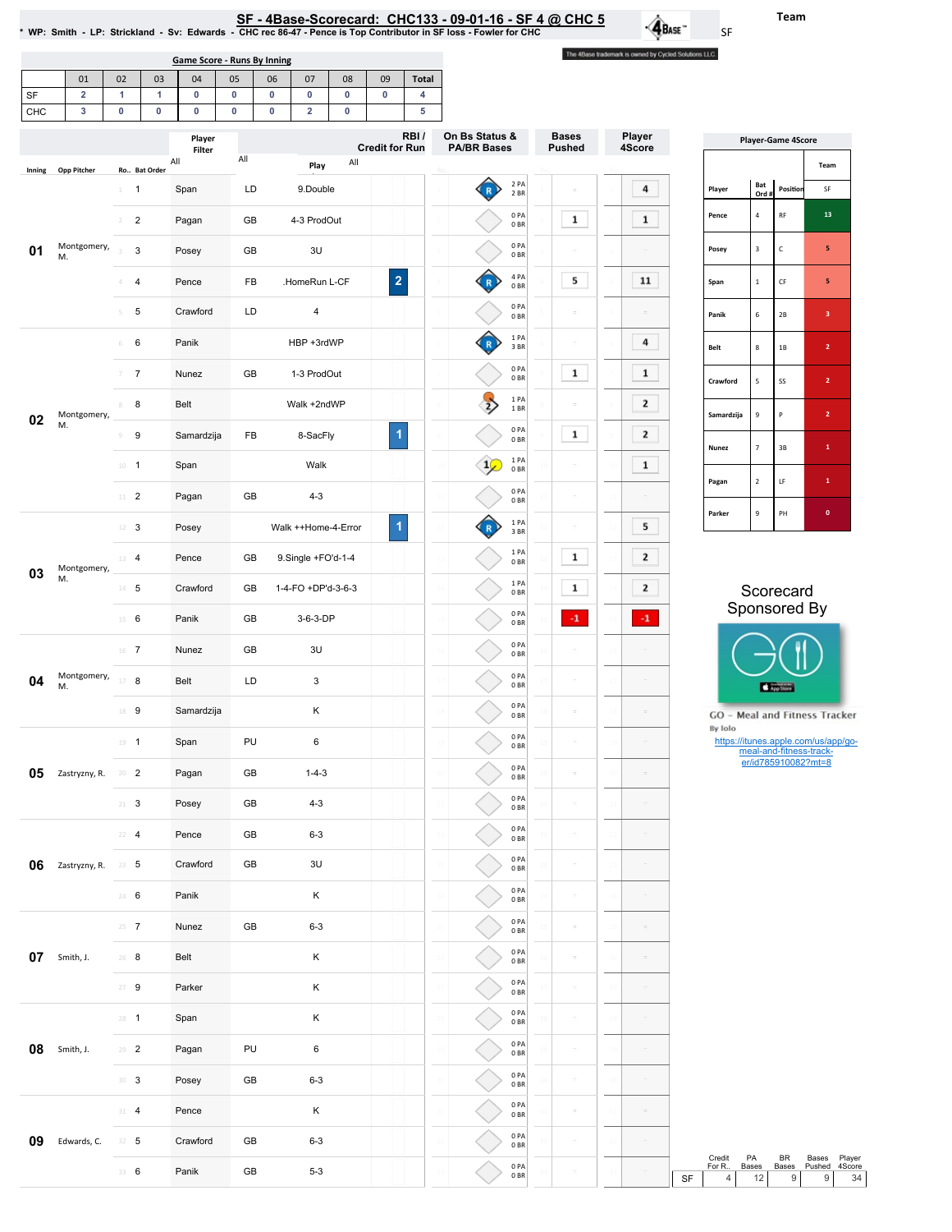|        |                                         |                          |                           |        | <b>Game Score - Runs By Inning</b> |               |                  |                              |               |                         |        |                                      |                                    |                                                                                                | The 4Base trademark is owned by Cycled Solutions LLC. |                   |
|--------|-----------------------------------------|--------------------------|---------------------------|--------|------------------------------------|---------------|------------------|------------------------------|---------------|-------------------------|--------|--------------------------------------|------------------------------------|------------------------------------------------------------------------------------------------|-------------------------------------------------------|-------------------|
|        | $01\,$                                  | 02                       |                           | 03     | 04                                 | 05            | 06               | 07                           | 08            | 09                      | Total  |                                      |                                    |                                                                                                |                                                       |                   |
| SF     | $\overline{\mathbf{2}}$<br>$\mathbf{3}$ | $\mathbf{1}$<br>0        |                           | 1<br>0 | $\pmb{0}$<br>0                     | $\bf{0}$<br>0 | $\mathbf 0$<br>0 | 0<br>$\overline{\mathbf{2}}$ | $\bf{0}$<br>0 | $\pmb{0}$               | 4<br>5 |                                      |                                    |                                                                                                |                                                       |                   |
| CHC    |                                         |                          |                           |        |                                    |               |                  |                              |               |                         |        |                                      |                                    |                                                                                                |                                                       |                   |
|        |                                         |                          |                           |        | Player<br>Filter                   | All           |                  |                              |               | <b>Credit for Run</b>   | RBI/   | On Bs Status &<br><b>PA/BR Bases</b> |                                    | <b>Bases</b><br><b>Pushed</b>                                                                  | Player<br>4Score                                      |                   |
| Inning | Opp Pitcher                             |                          | Ro Bat Order              | All    |                                    |               |                  | Play                         | All           |                         |        |                                      |                                    |                                                                                                |                                                       |                   |
|        |                                         |                          | $1 \quad 1$               |        | Span                               | LD            |                  | 9.Double                     |               |                         |        |                                      | 2 PA<br>2 BR                       |                                                                                                | 4                                                     | Player            |
|        |                                         | $\overline{2}$           | $\overline{2}$            |        | Pagan                              | GB            |                  | 4-3 ProdOut                  |               |                         |        |                                      | 0PA<br>0B                          | $\mathbf{1}$                                                                                   | $\mathbf 1$                                           | Pence             |
| 01     | Montgomery,<br>M.                       |                          | $\ensuremath{\mathsf{3}}$ |        | Posey                              | GB            |                  | 3U                           |               |                         |        |                                      | 0PA<br>0B                          |                                                                                                |                                                       | Posey             |
|        |                                         |                          | $\overline{4}$            |        | Pence                              | FB            |                  | .HomeRun L-CF                |               | $\overline{2}$          |        |                                      | 4 PA<br>0B                         | 5                                                                                              | 11                                                    | Span              |
|        |                                         | $\overline{R}_1$         | 5                         |        | Crawford                           | LD            |                  | 4                            |               |                         |        |                                      | 0 <sub>PA</sub><br>0 <sub>BR</sub> |                                                                                                |                                                       | Panik             |
|        |                                         | 6                        | 6                         |        | Panik                              |               |                  | HBP +3rdWP                   |               |                         |        | R                                    | 1PA<br>3BR                         | $\sim$                                                                                         | 4                                                     | Belt              |
|        |                                         | $\overline{\mathcal{I}}$ | $\overline{7}$            |        | Nunez                              | GB            |                  | 1-3 ProdOut                  |               |                         |        |                                      | 0 <sub>PA</sub><br>0BR             | 1                                                                                              | $\mathbf 1$                                           | Crawfor           |
|        | Montgomery,                             | 8                        | 8                         |        | Belt                               |               |                  | Walk +2ndWP                  |               |                         |        | $\overline{z}$                       | 1 PA<br>$1\;\mathrm{BR}$           | $\frac{1}{2} \left( \frac{1}{2} \right) \left( \frac{1}{2} \right) \left( \frac{1}{2} \right)$ | $\overline{\mathbf{z}}$                               | Samardz           |
| 02     | M.                                      | $\mathcal G$             | 9                         |        | Samardzija                         | FB            |                  | 8-SacFly                     |               | 1                       |        |                                      | 0PA<br>0BR                         | $\mathbf 1$                                                                                    | 2                                                     | Nunez             |
|        |                                         |                          | $10 - 1$                  |        | Span                               |               |                  | Walk                         |               |                         |        | $\frac{1}{2}$                        | 1PA<br>0BR                         |                                                                                                | $\mathbf{1}$                                          | Pagan             |
|        |                                         |                          | $11$ – $2$                |        | Pagan                              | GB            |                  | $4 - 3$                      |               |                         |        |                                      | 0PA<br>0BR                         | $\overline{a}$                                                                                 |                                                       |                   |
|        |                                         |                          | $12 \t3$                  |        | Posey                              |               |                  | Walk ++Home-4-Error          |               | $\overline{\mathbf{1}}$ |        |                                      | 1PA<br>3 BR                        | $\sim$                                                                                         | 5                                                     | Parker            |
| 03     | Montgomery,                             |                          | $13 - 4$                  |        | Pence                              | GB            |                  | 9.Single +FO'd-1-4           |               |                         |        |                                      | 1PA<br>0B                          | 1                                                                                              | 2                                                     |                   |
|        | M.                                      |                          | $14$ 5                    |        | Crawford                           | GB            |                  | 1-4-FO +DP'd-3-6-3           |               |                         |        |                                      | 1PA<br>0BR                         | $\mathbf{1}$                                                                                   | $\mathbf{2}$                                          |                   |
|        |                                         |                          | $15 \t 6$                 |        | Panik                              | GB            |                  | 3-6-3-DP                     |               |                         |        |                                      | 0PA<br>0B                          | $-1$                                                                                           | $\cdot 1$                                             |                   |
|        |                                         |                          | 16 7                      |        | Nunez                              | GB            |                  | 3U                           |               |                         |        |                                      | 0 <sub>PA</sub><br>0BR             | $\sim$                                                                                         |                                                       |                   |
| 04     | Montgomery,<br>M.                       |                          | $17 - 8$                  |        | Belt                               | LD            |                  | 3                            |               |                         |        |                                      | 0PA<br>0B                          | ÷                                                                                              |                                                       |                   |
|        |                                         |                          | 18 9                      |        | Samardzija                         |               |                  | Κ                            |               |                         |        |                                      | 0 <sub>PA</sub><br>0 <sub>BR</sub> | $\bar{a}$                                                                                      |                                                       | $GO -$<br>By lold |
|        |                                         |                          | $19 - 1$                  |        | Span                               | PU            |                  | 6                            |               |                         |        |                                      | 0PA<br>0BR                         | $\equiv$                                                                                       |                                                       | https             |
| 05     | Zastryzny, R.                           |                          | $20 - 2$                  |        | Pagan                              | GB            |                  | $1 - 4 - 3$                  |               |                         |        |                                      | 0 <sub>PA</sub><br>0BR             |                                                                                                |                                                       |                   |
|        |                                         |                          |                           |        |                                    |               |                  |                              |               |                         |        |                                      | 0 <sub>n</sub>                     |                                                                                                |                                                       |                   |

| <b>Player-Game 4Score</b> |                |           |                |  |  |  |  |  |  |  |  |
|---------------------------|----------------|-----------|----------------|--|--|--|--|--|--|--|--|
|                           |                |           | Team           |  |  |  |  |  |  |  |  |
| Player                    | Bat<br>Ord#    | Position  | SF             |  |  |  |  |  |  |  |  |
| Pence                     | $\overline{4}$ | <b>RF</b> | 13             |  |  |  |  |  |  |  |  |
| Posey                     | 3              | C         | 5              |  |  |  |  |  |  |  |  |
| Span                      | $\mathbf{1}$   | CF        | 5              |  |  |  |  |  |  |  |  |
| Panik                     | 6              | 2B        | 3              |  |  |  |  |  |  |  |  |
| <b>Belt</b>               | 8              | 1B        | $\overline{2}$ |  |  |  |  |  |  |  |  |
| Crawford                  | 5              | SS        | $\overline{2}$ |  |  |  |  |  |  |  |  |
| Samardzija                | 9              | P         | $\overline{2}$ |  |  |  |  |  |  |  |  |
| <b>Nunez</b>              | $\overline{7}$ | 3B        | 1              |  |  |  |  |  |  |  |  |
| Pagan                     | $\overline{a}$ | LF        | 1              |  |  |  |  |  |  |  |  |
| Parker                    | 9              | PH        | $\mathbf{0}$   |  |  |  |  |  |  |  |  |

### Scorecard Sponsored By



GO - Meal and Fitness Tracker By Iolo

https://itunes.apple.com/us/app/go-meal-and-fitness-track-er/id785910082?mt=8

| 05 | Zastryzny, R. 20 2 |          | Pagan    | GB            | $1 - 4 - 3$   |  | $\begin{array}{c} 0 \text{ PA} \\ 0 \text{ BR} \end{array}$   | $\sim$   | $\equiv$ | $rac{1}{2}$                                                                                                                        |
|----|--------------------|----------|----------|---------------|---------------|--|---------------------------------------------------------------|----------|----------|------------------------------------------------------------------------------------------------------------------------------------|
|    |                    | $21 - 3$ | Posey    | GB            | $4 - 3$       |  | 0PA<br>0 B R                                                  | $\equiv$ | $\sim$   |                                                                                                                                    |
|    |                    | $22 - 4$ | Pence    | GB            | $6 - 3$       |  | $\begin{array}{c} \texttt{0 PA} \\ \texttt{0 BR} \end{array}$ | $\equiv$ | $\sim$   |                                                                                                                                    |
| 06 | Zastryzny, R.      | $23 - 5$ | Crawford | GB            | $3\mathsf{U}$ |  | $\begin{array}{c} 0 \text{ PA} \\ 0 \text{ BR} \end{array}$   | $\sim$   | $\equiv$ |                                                                                                                                    |
|    |                    | $24 - 6$ | Panik    |               | Κ             |  | 0PA<br>0BR                                                    | $\equiv$ | $\equiv$ |                                                                                                                                    |
|    |                    | $25 - 7$ | Nunez    | $\mathsf{GB}$ | $6 - 3$       |  | $\begin{array}{c} 0 \ \text{PA} \\ 0 \ \text{BR} \end{array}$ | $\sim$   | $\sim$   |                                                                                                                                    |
| 07 | Smith, J.          | $26 - 8$ | Belt     |               | Κ             |  | $\begin{array}{c} 0 \ \text{PA} \\ 0 \ \text{BR} \end{array}$ | $\equiv$ | $\equiv$ |                                                                                                                                    |
|    |                    | $27 - 9$ | Parker   |               | Κ             |  | 0PA<br>0BR                                                    | $\sim$   | $\equiv$ |                                                                                                                                    |
|    |                    | $28 - 1$ | Span     |               | K             |  | $\begin{array}{c} 0 \ \text{PA} \\ 0 \ \text{BR} \end{array}$ | $\sim$   | $\equiv$ |                                                                                                                                    |
| 08 | Smith, J.          | $29 - 2$ | Pagan    | PU            | 6             |  | 0PA<br>0BR                                                    | $\sim$   | $\equiv$ |                                                                                                                                    |
|    |                    | $30-3$   | Posey    | GB            | $6 - 3$       |  | $\begin{array}{c} 0 \ \text{PA} \\ 0 \ \text{BR} \end{array}$ | $\sim$   | $\equiv$ |                                                                                                                                    |
|    |                    | $31 - 4$ | Pence    |               | Κ             |  | 0PA<br>0 B R                                                  | $\sim$   | $\sim$   |                                                                                                                                    |
| 09 | Edwards, C.        | $32 - 5$ | Crawford | GB            | $6 - 3$       |  | 0PA<br>0 B R                                                  | $\equiv$ | $\equiv$ |                                                                                                                                    |
|    |                    | 33 6     | Panik    | GB            | $5-3$         |  | $\begin{array}{c} 0 \ \text{PA} \\ 0 \ \text{BR} \end{array}$ | $\equiv$ | $\equiv$ | Credit<br>For R<br>PA<br>BR<br>Bases Player<br>Pushed 4Score<br>Bases<br>Bases<br>$12$<br>$9\,$<br>SF<br>9<br>34<br>$\overline{4}$ |
|    |                    |          |          |               |               |  |                                                               |          |          |                                                                                                                                    |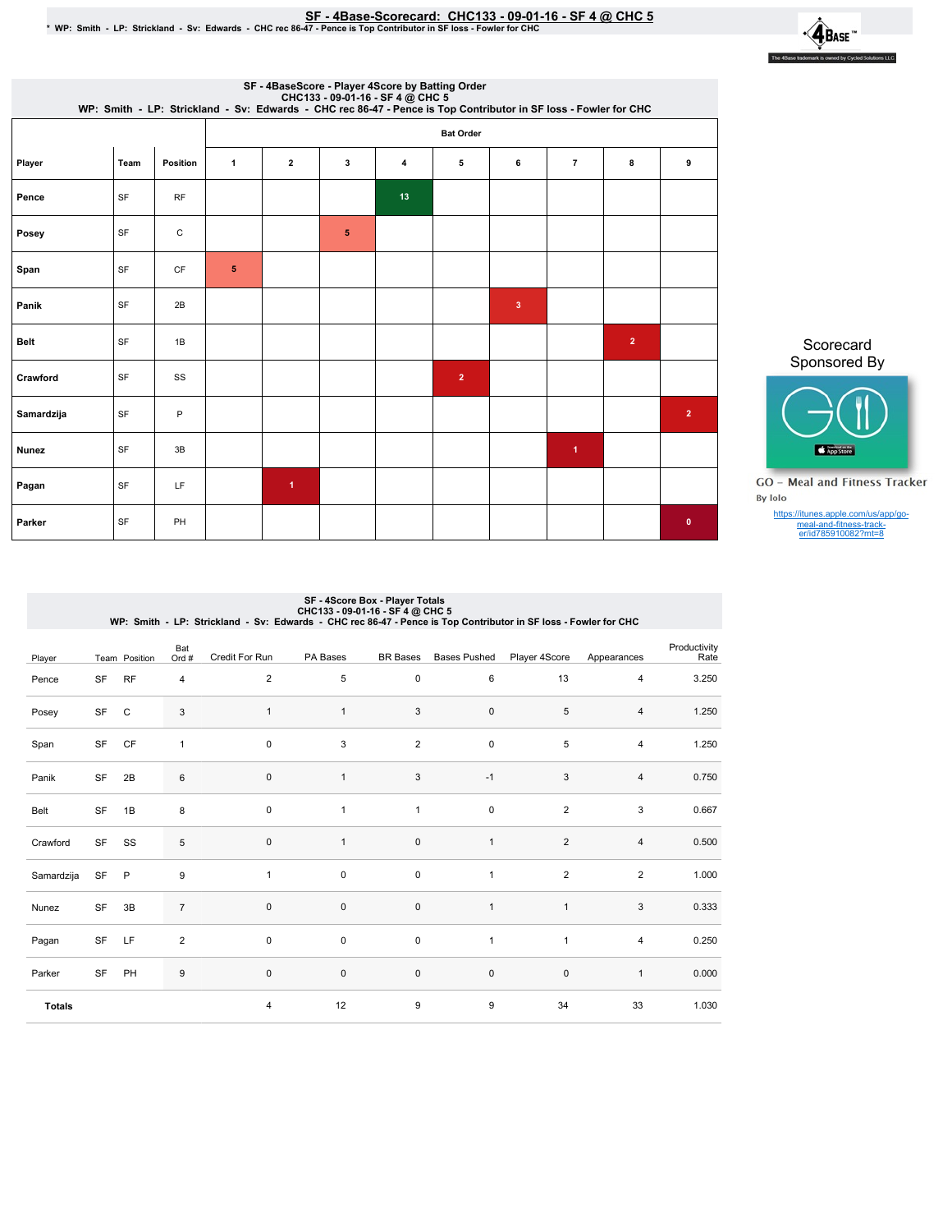# SF - 4Base-Scorecard: CHC133 - 09-01-16 - SF 4 @ CHC 5 ين SF - 4Base-Scorecard: CHC133 - 09-01-16<br>\* WP: Smith - LP: Strickland - Sv: Edwards - CHC rec 86-47- Pence is Top Contributor in SF loss - Fowler for CHC

 $\cdot \mathbf{Q}_{\text{Base}}$ 

The 4Base trademark is own

ed by Cycled Solutions LLC.

|              | SF - 4BaseScore - Player 4Score by Batting Order<br>CHC133 - 09-01-16 - SF 4 @ CHC 5<br>WP: Smith - LP: Strickland - Sv: Edwards - CHC rec 86-47 - Pence is Top Contributor in SF loss - Fowler for CHC |              |              |                         |            |    |                  |                         |                      |                |                |  |  |  |  |
|--------------|---------------------------------------------------------------------------------------------------------------------------------------------------------------------------------------------------------|--------------|--------------|-------------------------|------------|----|------------------|-------------------------|----------------------|----------------|----------------|--|--|--|--|
|              |                                                                                                                                                                                                         |              |              |                         |            |    | <b>Bat Order</b> |                         |                      |                |                |  |  |  |  |
| Player       | Team                                                                                                                                                                                                    | Position     | $\mathbf{1}$ | $\overline{\mathbf{2}}$ | 3          | 4  | 5                | 6                       | $\overline{7}$       | 8              | 9              |  |  |  |  |
| Pence        | SF                                                                                                                                                                                                      | <b>RF</b>    |              |                         |            | 13 |                  |                         |                      |                |                |  |  |  |  |
| Posey        | SF                                                                                                                                                                                                      | $\mathsf{C}$ |              |                         | $\sqrt{5}$ |    |                  |                         |                      |                |                |  |  |  |  |
| Span         | SF                                                                                                                                                                                                      | CF           | 5            |                         |            |    |                  |                         |                      |                |                |  |  |  |  |
| Panik        | SF                                                                                                                                                                                                      | 2B           |              |                         |            |    |                  | $\overline{\mathbf{3}}$ |                      |                |                |  |  |  |  |
| <b>Belt</b>  | SF                                                                                                                                                                                                      | 1B           |              |                         |            |    |                  |                         |                      | $\overline{2}$ |                |  |  |  |  |
| Crawford     | SF                                                                                                                                                                                                      | SS           |              |                         |            |    | $\overline{2}$   |                         |                      |                |                |  |  |  |  |
| Samardzija   | SF                                                                                                                                                                                                      | P            |              |                         |            |    |                  |                         |                      |                | $\overline{2}$ |  |  |  |  |
| <b>Nunez</b> | SF                                                                                                                                                                                                      | 3B           |              |                         |            |    |                  |                         | $\blacktriangleleft$ |                |                |  |  |  |  |
| Pagan        | SF                                                                                                                                                                                                      | LF           |              | $\blacktriangleleft$    |            |    |                  |                         |                      |                |                |  |  |  |  |
| Parker       | SF                                                                                                                                                                                                      | PH           |              |                         |            |    |                  |                         |                      |                | $\pmb{0}$      |  |  |  |  |

Scorecard Sponsored By



**GO** - Meal and Fitness Tracker By Iolo

https://itunes.apple.com/us/app/go-meal-and-fitness-track-er/id785910082?mt=8

# SF - 4Score Box - Player Totals<br>CHC133 - 09-01-16 - SYE4 @ CHC133<br>WP: Smith - LP: Strickland - Sv: Edwards - CHC rec 86-47 - Pence is Top Contributor in SF loss - Fowler for CHC

| Player        |    | Team Position | Bat<br>Ord #     | Credit For Run      | PA Bases       | <b>BR</b> Bases           | <b>Bases Pushed</b> | Player 4Score  | Appearances    | Productivity<br>Rate |
|---------------|----|---------------|------------------|---------------------|----------------|---------------------------|---------------------|----------------|----------------|----------------------|
| Pence         | SF | RF            | 4                | $\overline{2}$      | $\,$ 5 $\,$    | 0                         | 6                   | 13             | $\overline{4}$ | 3.250                |
| Posey         | SF | $\mathsf C$   | 3                | $\mathbf{1}$        | $\mathbf{1}$   | 3                         | $\pmb{0}$           | $\,$ 5 $\,$    | $\sqrt{4}$     | 1.250                |
| Span          | SF | CF            | $\overline{1}$   | $\mathbf 0$         | 3              | $\overline{c}$            | 0                   | 5              | $\overline{4}$ | 1.250                |
| Panik         | SF | 2B            | $\,6$            | $\mathsf{O}\xspace$ | $\mathbf{1}$   | $\ensuremath{\mathsf{3}}$ | $-1$                | $\mathbf{3}$   | $\sqrt{4}$     | 0.750                |
| Belt          | SF | 1B            | $\bf 8$          | $\mathbf 0$         | $\overline{1}$ | $\mathbf{1}$              | $\pmb{0}$           | 2              | 3              | 0.667                |
| Crawford      | SF | SS            | $\sqrt{5}$       | $\mathsf{O}\xspace$ | $\mathbf{1}$   | $\pmb{0}$                 | $\mathbf{1}$        | $\overline{2}$ | $\overline{4}$ | 0.500                |
| Samardzija    | SF | $\mathsf{P}$  | $\boldsymbol{9}$ | $\mathbf{1}$        | $\pmb{0}$      | $\pmb{0}$                 | $\mathbf{1}$        | $\overline{2}$ | $\overline{2}$ | 1.000                |
| Nunez         | SF | 3B            | $\overline{7}$   | $\mathsf 0$         | $\pmb{0}$      | $\pmb{0}$                 | $\mathbf{1}$        | $\mathbf{1}$   | 3              | 0.333                |
| Pagan         | SF | LF            | $\sqrt{2}$       | $\mathbf 0$         | $\pmb{0}$      | $\pmb{0}$                 | $\mathbf{1}$        | $\mathbf{1}$   | $\overline{4}$ | 0.250                |
| Parker        | SF | PH            | $\boldsymbol{9}$ | $\mathsf 0$         | $\pmb{0}$      | $\mathsf 0$               | $\mathsf{O}\xspace$ | $\mathsf 0$    | $\mathbf{1}$   | 0.000                |
| <b>Totals</b> |    |               |                  | 4                   | 12             | 9                         | 9                   | 34             | 33             | 1.030                |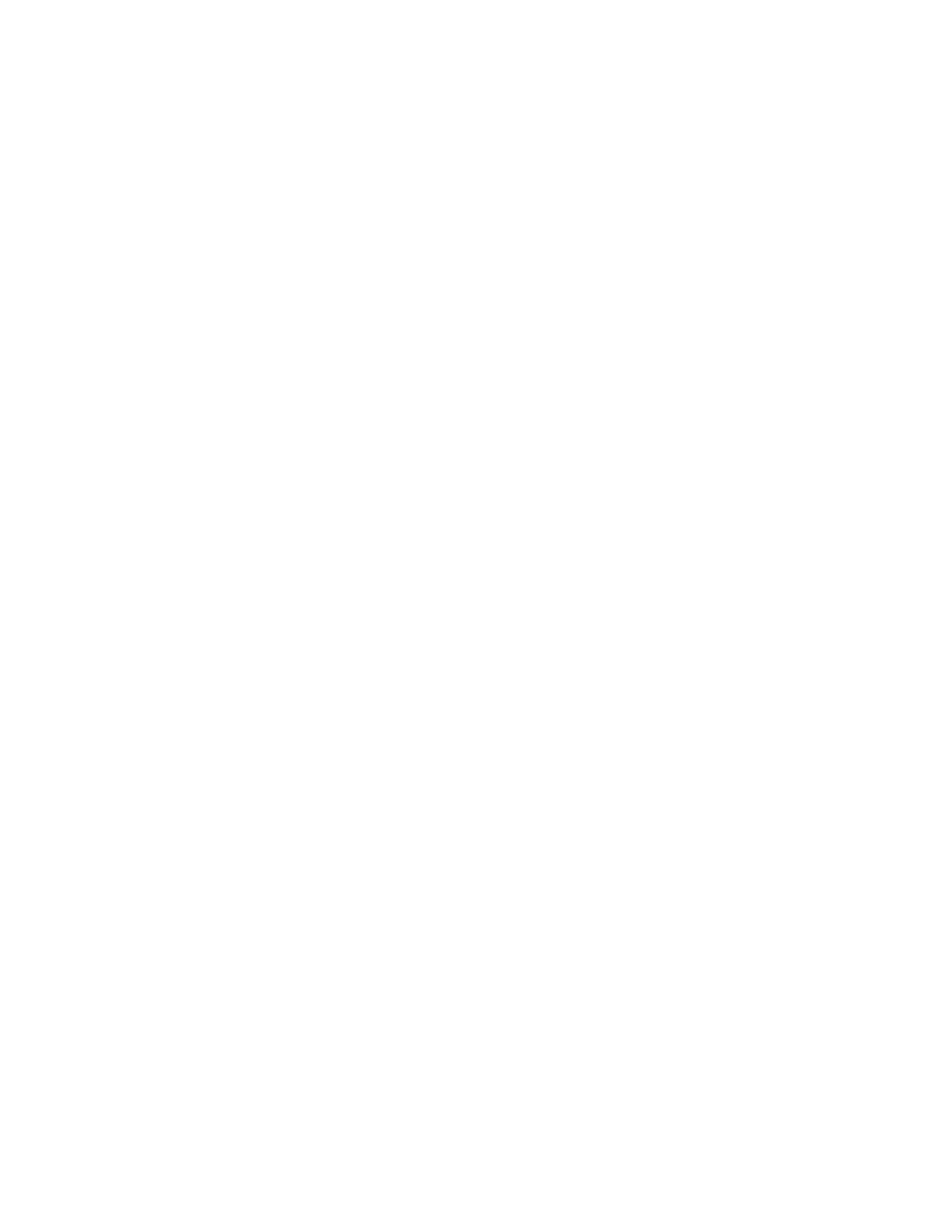: 3 6PLM: /3 6WLFNDOG 6Y (GZDUGV & +&UF  $\frac{6)$  %DVH6FRUHFDUG & +& 6) #  $&8+&8$ 

|            | 6)<br>%DVH6FRUH 300 HU 6FRUHE\%DWMQJ2UGHU<br>$8 + 8$<br>$\begin{array}{ll} 6) & \text{\#} & 8+8 \\ & 3\,\text{HOFHM}\,7\,\text{RS}\,\&\text{RGMIEXWRULQ}\,6) \text{ GRW} \end{array} \big) \text{ RZ} \text{OHIRU}\,&+8 \cdot 8$<br>: 3 6 P LM / 3 6 WLFNDQG 6 Y (GZ DUGV $8+8$ UF |                  |  |           |  |  |  |  |  |  |  |  |  |  |  |
|------------|------------------------------------------------------------------------------------------------------------------------------------------------------------------------------------------------------------------------------------------------------------------------------------|------------------|--|-----------|--|--|--|--|--|--|--|--|--|--|--|
|            |                                                                                                                                                                                                                                                                                    |                  |  |           |  |  |  |  |  |  |  |  |  |  |  |
|            |                                                                                                                                                                                                                                                                                    |                  |  | %DW2 UGHU |  |  |  |  |  |  |  |  |  |  |  |
| 300 HU     | 7HDP                                                                                                                                                                                                                                                                               | 3 RVIMRQ         |  |           |  |  |  |  |  |  |  |  |  |  |  |
| 3HQFH      | 6)                                                                                                                                                                                                                                                                                 | 5)               |  |           |  |  |  |  |  |  |  |  |  |  |  |
| 3RVH       | 6)                                                                                                                                                                                                                                                                                 | &                |  |           |  |  |  |  |  |  |  |  |  |  |  |
| 6SDQ       | 6)                                                                                                                                                                                                                                                                                 | &)               |  |           |  |  |  |  |  |  |  |  |  |  |  |
| 3DQIN      | 6)                                                                                                                                                                                                                                                                                 | $\%$             |  |           |  |  |  |  |  |  |  |  |  |  |  |
| %HOW       | 6)                                                                                                                                                                                                                                                                                 | $\%$             |  |           |  |  |  |  |  |  |  |  |  |  |  |
| & UDZ IRUG | 6)                                                                                                                                                                                                                                                                                 | 66               |  |           |  |  |  |  |  |  |  |  |  |  |  |
| 6DPDUGJLMD | 6)                                                                                                                                                                                                                                                                                 | 3                |  |           |  |  |  |  |  |  |  |  |  |  |  |
| 1 XQH      | 6)                                                                                                                                                                                                                                                                                 | %                |  |           |  |  |  |  |  |  |  |  |  |  |  |
| 3DJDQ      | 6)                                                                                                                                                                                                                                                                                 | $\left( \right)$ |  |           |  |  |  |  |  |  |  |  |  |  |  |
| 3DUNHU     | 6)                                                                                                                                                                                                                                                                                 | $3+$             |  |           |  |  |  |  |  |  |  |  |  |  |  |

6 FRUHFDLG 6 SRQVRUHG%

<u>KWOSY WACHYDSSON FRP XVDSSJR</u><br>PHDCDQGILWOHAYWOFN<br><u>HULG "PW</u>

|              |    |               |                               |                           | 6)<br>$8 + 8$ | 6 FRUH%R[ 300\HU7RW00V<br>6) # $8+8$ |                                                                                        |              |                   |
|--------------|----|---------------|-------------------------------|---------------------------|---------------|--------------------------------------|----------------------------------------------------------------------------------------|--------------|-------------------|
|              |    |               |                               |                           |               |                                      | : 3 6PLMK /3 6WLENDOG 6Y (GZDUGV & +& UHF 3HOFHLY7RS&ROWLEXWRULQ6) ORVV ) RZOHUIRU& +& |              |                   |
| 30 NU        |    | 7HDP 3RVMLIRQ | %DW<br>$2 \text{ }\mathsf{L}$ | & UHGLW, RU5 XQ 3\$ %DVHV |               |                                      | %5 %DVHV %DVHV3XWKHG 300 NU6FRUH                                                       | \$SSHDUDGFHV | 3 URGXFWWW<br>5DM |
| 3HQHH        | 6) | 5)            |                               |                           |               |                                      |                                                                                        |              |                   |
| 3RVH         | 6) | &             |                               |                           |               |                                      |                                                                                        |              |                   |
| 6 SDQ        | 6) | &)            |                               |                           |               |                                      |                                                                                        |              |                   |
| 3DQIN        | 6) | $\%$          |                               |                           |               |                                      |                                                                                        |              |                   |
| %HOW         | 6) | $\%$          |                               |                           |               |                                      |                                                                                        |              |                   |
| & UDZ IRUG   | 6) | 66            |                               |                           |               |                                      |                                                                                        |              |                   |
| 6 DP DUG LMD | 6) | 3             |                               |                           |               |                                      |                                                                                        |              |                   |
| 1 XQH        | 6) | $\%$          |                               |                           |               |                                      |                                                                                        |              |                   |
| 3 DJDQ       | 6) | $\prime$ )    |                               |                           |               |                                      |                                                                                        |              |                   |
| 3 DUNHU      | 6) | $3+$          |                               |                           |               |                                      |                                                                                        |              |                   |
| 7RWDOV       |    |               |                               |                           |               |                                      |                                                                                        |              |                   |
|              |    |               |                               |                           |               |                                      |                                                                                        |              |                   |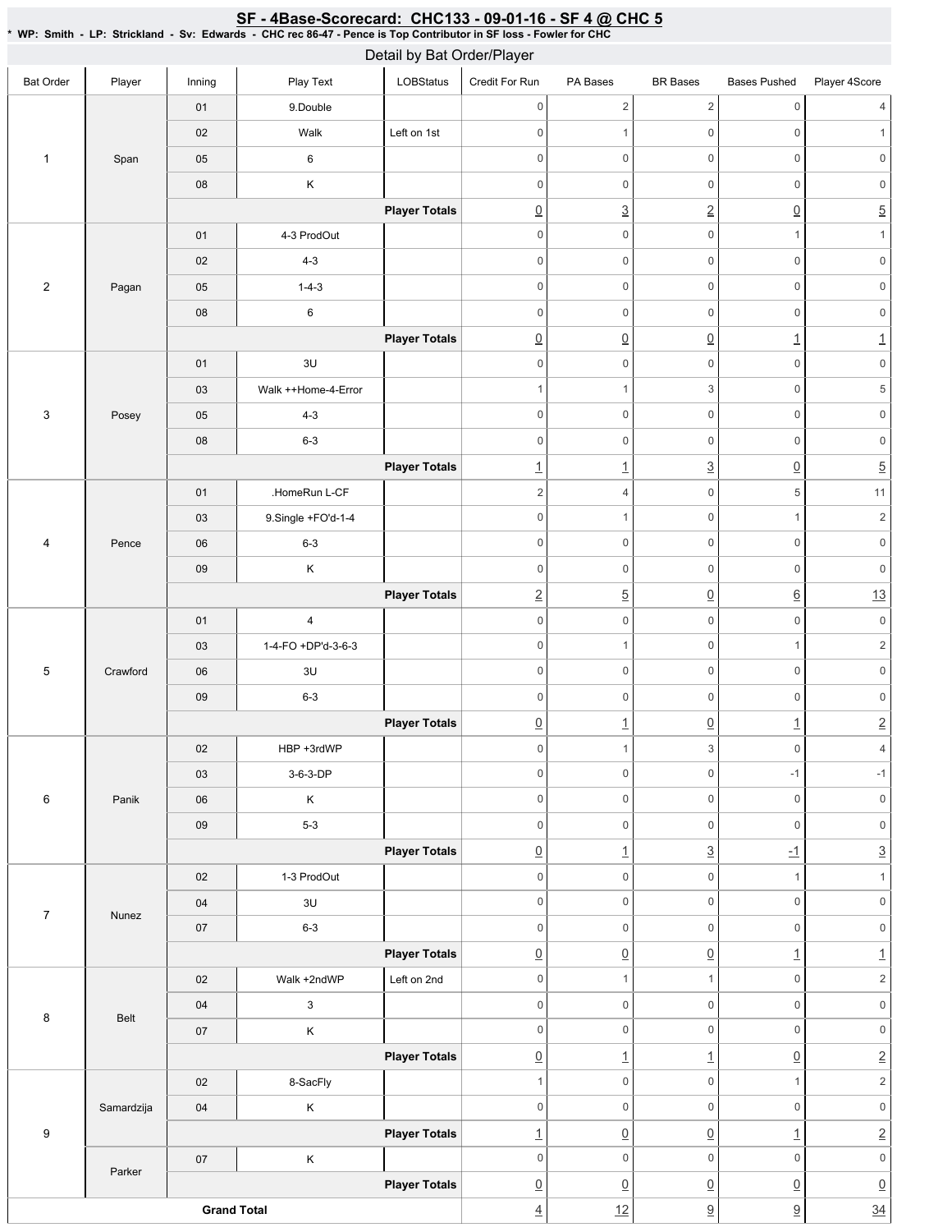#### Bat Order | Player | Inning | PlayText | LOBStatus Credit For Run PA Bases BR Bases Bases Pushed Player 4Score 1 Span 01 9.Double 02 Walk Left on 1st 05 6 08 K **Player Totals** 2 Pagan 01 4-3 ProdOut 02 4-3 05 1-4-3 08 6 **Player Totals** 3 Posey 01 3U 03 Walk ++Home-4-Error 05 4-3 08 6-3 **Player Totals** 4 Pence 01 | .HomeRun L-CF 03 9.Single +FO'd-1-4 06 6-3 09 K **Player Totals** 5 Crawford 01 4 03 1-4-FO +DP'd-3-6-3 06 3U 09 6-3 **Player Totals** 6 Panik 02 **HBP** +3rdWP 03 3-6-3-DP 06 K 09 5-3 **Player Totals** 7 Nunez 02 | 1-3 ProdOut 04 3U 07 6-3 **Player Totals** 8 Belt 02 | Walk +2ndWP | Left on 2nd 04 3 07 K **Player Totals** 9 Samardzija 02 8-SacFly 04 K **Player Totals** Parker 07 K **Player Totals Grand Total**  $0 \qquad \qquad 2 \qquad \qquad 2 \qquad \qquad 0 \qquad \qquad 4$ 0 0 0 1 0 0 0 0 0 0 0 0 0 0 0 0 0 3 2 0 5  $0 \qquad 0 \qquad 0 \qquad 1 \qquad 1$ 0 0 0 0 0 0 0 0 0 0 0 0 0 0 0 0 0 0  $\boxed{0}$   $\boxed{0}$   $\boxed{1}$   $\boxed{1}$ 0 0 0 0 0 0 1 1 3 0 5 0 0 0 0 0 0 0 0 0 0 0 0  $\frac{1}{1}$   $\frac{3}{1}$   $\frac{0}{5}$ 2 4 0 5 11 0 1 0 1 2 0 0 0 0 0 0 0 0 0 0 0 0  $2$  5 0 6 13 0 0 0 0 0 0 0 1 0 1 2 0 0 0 0 0 0 0 0 0 0 0 0  $\boxed{0}$  1  $\boxed{0}$  1 2 0 1 3 0 4 0 0 -1 -1 0 0 0 0 0 0 0 0 0 0 0 0  $\boxed{0}$   $\boxed{1}$   $\boxed{3}$   $\boxed{1}$   $\boxed{3}$  $0 \qquad \qquad 0 \qquad \qquad 0 \qquad \qquad 1 \qquad \qquad 1$ 0 0 0 0 0 0 0 0 0 0 0 0  $\boxed{0}$   $\boxed{0}$   $\boxed{1}$   $\boxed{1}$ 0 1 1 0 2 0 0 0 0 0 0 0 0 0 0 0 0  $\boxed{0}$  1  $\boxed{1}$   $\boxed{0}$  2 1 0 0 1 2 0 0 0 0 0 0 1 0 0 1 2 0 0 0 0 0 0  $\overline{0}$   $\overline{0}$   $\overline{0}$   $\overline{0}$   $\overline{0}$   $\overline{0}$   $\overline{0}$  $\frac{4}{9}$   $\frac{9}{9}$   $\frac{9}{34}$ Detail by Bat Order/Player

## SF - 4Base-Scorecard: CHC133 - 09-01-16 - SF 4 @ CHC 5

\*WP:Smith-LP:Strickland-Sv:Edwards-CHCrec86-47-PenceisTopContributorinSFloss-FowlerforCHC